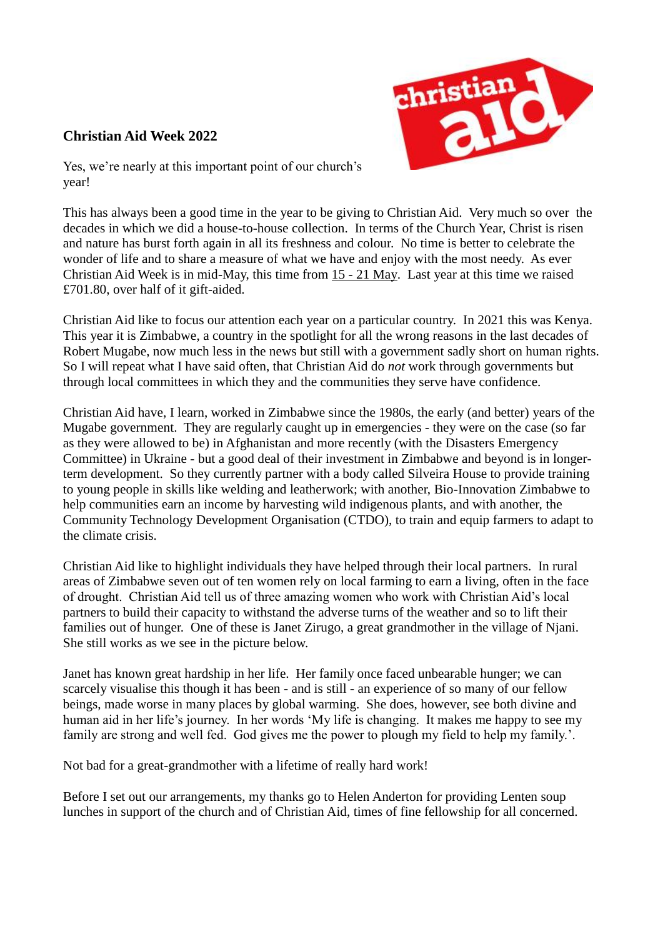## **Christian Aid Week 2022**



Yes, we're nearly at this important point of our church's year!

This has always been a good time in the year to be giving to Christian Aid. Very much so over the decades in which we did a house-to-house collection. In terms of the Church Year, Christ is risen and nature has burst forth again in all its freshness and colour. No time is better to celebrate the wonder of life and to share a measure of what we have and enjoy with the most needy. As ever Christian Aid Week is in mid-May, this time from 15 - 21 May. Last year at this time we raised £701.80, over half of it gift-aided.

Christian Aid like to focus our attention each year on a particular country. In 2021 this was Kenya. This year it is Zimbabwe, a country in the spotlight for all the wrong reasons in the last decades of Robert Mugabe, now much less in the news but still with a government sadly short on human rights. So I will repeat what I have said often, that Christian Aid do *not* work through governments but through local committees in which they and the communities they serve have confidence.

Christian Aid have, I learn, worked in Zimbabwe since the 1980s, the early (and better) years of the Mugabe government. They are regularly caught up in emergencies - they were on the case (so far as they were allowed to be) in Afghanistan and more recently (with the Disasters Emergency Committee) in Ukraine - but a good deal of their investment in Zimbabwe and beyond is in longerterm development. So they currently partner with a body called Silveira House to provide training to young people in skills like welding and leatherwork; with another, Bio-Innovation Zimbabwe to help communities earn an income by harvesting wild indigenous plants, and with another, the Community Technology Development Organisation (CTDO), to train and equip farmers to adapt to the climate crisis.

Christian Aid like to highlight individuals they have helped through their local partners. In rural areas of Zimbabwe seven out of ten women rely on local farming to earn a living, often in the face of drought. Christian Aid tell us of three amazing women who work with Christian Aid's local partners to build their capacity to withstand the adverse turns of the weather and so to lift their families out of hunger. One of these is Janet Zirugo, a great grandmother in the village of Njani. She still works as we see in the picture below.

Janet has known great hardship in her life. Her family once faced unbearable hunger; we can scarcely visualise this though it has been - and is still - an experience of so many of our fellow beings, made worse in many places by global warming. She does, however, see both divine and human aid in her life's journey. In her words 'My life is changing. It makes me happy to see my family are strong and well fed. God gives me the power to plough my field to help my family.'.

Not bad for a great-grandmother with a lifetime of really hard work!

Before I set out our arrangements, my thanks go to Helen Anderton for providing Lenten soup lunches in support of the church and of Christian Aid, times of fine fellowship for all concerned.